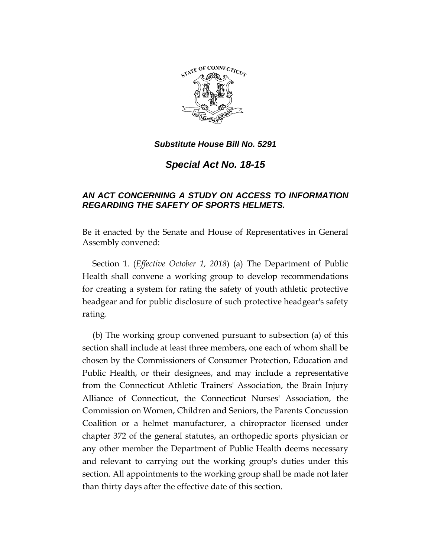

*Substitute House Bill No. 5291*

*Special Act No. 18-15*

## *AN ACT CONCERNING A STUDY ON ACCESS TO INFORMATION REGARDING THE SAFETY OF SPORTS HELMETS.*

Be it enacted by the Senate and House of Representatives in General Assembly convened:

Section 1. (*Effective October 1, 2018*) (a) The Department of Public Health shall convene a working group to develop recommendations for creating a system for rating the safety of youth athletic protective headgear and for public disclosure of such protective headgear's safety rating.

(b) The working group convened pursuant to subsection (a) of this section shall include at least three members, one each of whom shall be chosen by the Commissioners of Consumer Protection, Education and Public Health, or their designees, and may include a representative from the Connecticut Athletic Trainers' Association, the Brain Injury Alliance of Connecticut, the Connecticut Nurses' Association, the Commission on Women, Children and Seniors, the Parents Concussion Coalition or a helmet manufacturer, a chiropractor licensed under chapter 372 of the general statutes, an orthopedic sports physician or any other member the Department of Public Health deems necessary and relevant to carrying out the working group's duties under this section. All appointments to the working group shall be made not later than thirty days after the effective date of this section.